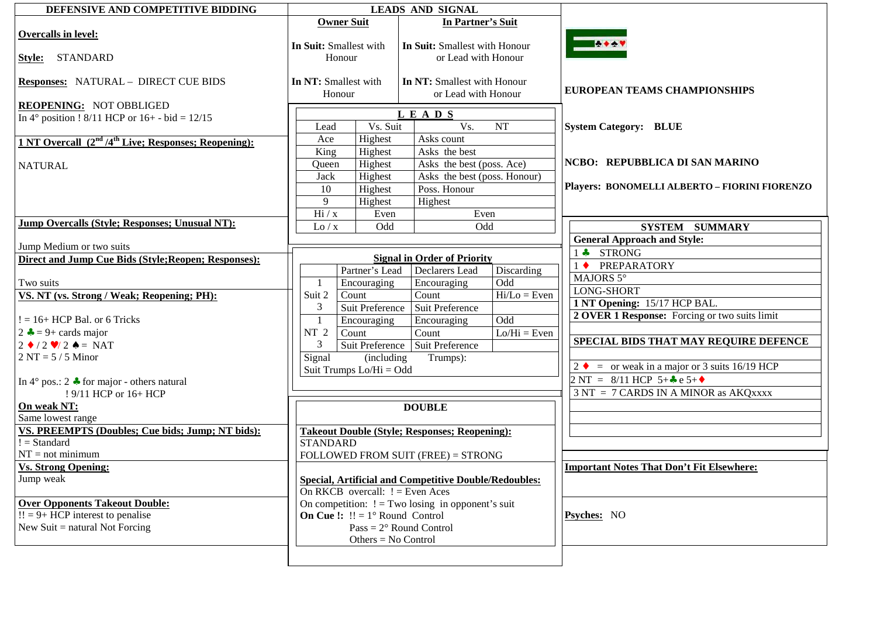| DEFENSIVE AND COMPETITIVE BIDDING                             |                                               |                       | <b>LEADS AND SIGNAL</b>                                      |                           |                                                       |  |
|---------------------------------------------------------------|-----------------------------------------------|-----------------------|--------------------------------------------------------------|---------------------------|-------------------------------------------------------|--|
|                                                               | <b>Owner Suit</b>                             |                       | In Partner's Suit                                            |                           |                                                       |  |
| Overcalls in level:                                           |                                               |                       |                                                              |                           |                                                       |  |
|                                                               | In Suit: Smallest with                        |                       | In Suit: Smallest with Honour                                |                           | <b>THE ABOV</b>                                       |  |
| Style: STANDARD                                               | Honour                                        |                       | or Lead with Honour                                          |                           |                                                       |  |
|                                                               |                                               |                       |                                                              |                           |                                                       |  |
| <b>Responses: NATURAL - DIRECT CUE BIDS</b>                   | In NT: Smallest with                          |                       | In NT: Smallest with Honour                                  |                           |                                                       |  |
|                                                               | Honour                                        |                       | or Lead with Honour                                          |                           | <b>EUROPEAN TEAMS CHAMPIONSHIPS</b>                   |  |
| <b>REOPENING: NOT OBBLIGED</b>                                |                                               |                       |                                                              |                           |                                                       |  |
| In $4^{\circ}$ position ! 8/11 HCP or $16+ -$ bid = 12/15     |                                               |                       | LEADS                                                        |                           |                                                       |  |
|                                                               | Vs. Suit<br>Lead                              |                       | Vs.<br>NT                                                    |                           | <b>System Category: BLUE</b>                          |  |
| 1 NT Overcall $(2nd/4th Live; Responses; Re opening):$        | Ace                                           | Highest               | Asks count                                                   |                           |                                                       |  |
|                                                               | King                                          | Highest               | Asks the best                                                |                           |                                                       |  |
|                                                               |                                               |                       |                                                              |                           | NCBO: REPUBBLICA DI SAN MARINO                        |  |
| <b>NATURAL</b>                                                | Highest<br>Queen                              |                       | Asks the best (poss. Ace)<br>Asks the best (poss. Honour)    |                           |                                                       |  |
|                                                               | Jack                                          | Highest               |                                                              |                           |                                                       |  |
|                                                               | 10                                            | Highest               | Poss. Honour                                                 |                           | Players: BONOMELLI ALBERTO - FIORINI FIORENZO         |  |
|                                                               | 9                                             | Highest               | Highest                                                      |                           |                                                       |  |
|                                                               | Hi / x                                        | Even                  | Even                                                         |                           |                                                       |  |
| <b>Jump Overcalls (Style; Responses; Unusual NT):</b>         | Odd<br>Lo / x                                 |                       | Odd                                                          |                           | <b>SYSTEM SUMMARY</b>                                 |  |
|                                                               |                                               |                       |                                                              |                           | <b>General Approach and Style:</b>                    |  |
| Jump Medium or two suits                                      |                                               |                       |                                                              |                           | 1 + STRONG                                            |  |
| Direct and Jump Cue Bids (Style; Reopen; Responses):          |                                               |                       | <b>Signal in Order of Priority</b>                           |                           | <b>PREPARATORY</b><br>$1 \bullet$                     |  |
|                                                               |                                               | Partner's Lead        | Declarers Lead                                               | Discarding                | MAJORS 5°                                             |  |
| Two suits                                                     | -1                                            | Encouraging           | Encouraging                                                  | Odd                       |                                                       |  |
| VS. NT (vs. Strong / Weak; Reopening; PH):                    | Suit 2                                        | Count                 | Count                                                        | $\overline{Hi}/Lo = Even$ | <b>LONG-SHORT</b>                                     |  |
|                                                               | 3                                             | Suit Preference       | Suit Preference                                              |                           | 1 NT Opening: 15/17 HCP BAL.                          |  |
| $!= 16+ HCP$ Bal. or 6 Tricks                                 | $\mathbf{1}$                                  | Encouraging           | Encouraging                                                  | Odd                       | 2 OVER 1 Response: Forcing or two suits limit         |  |
| $2 \div 9 + \text{cards major}$                               | NT <sub>2</sub><br>Count                      |                       | Count                                                        | $Lo/Hi = Even$            |                                                       |  |
| $2 \cdot 2 \cdot 2 = NAT$                                     | 3                                             |                       | Suit Preference   Suit Preference                            |                           | SPECIAL BIDS THAT MAY REQUIRE DEFENCE                 |  |
| $2 NT = 5 / 5 Minor$                                          | Signal                                        | (including)           | Trumps):                                                     |                           |                                                       |  |
|                                                               | Suit Trumps Lo/Hi = Odd                       |                       |                                                              |                           | $2 \bullet =$ or weak in a major or 3 suits 16/19 HCP |  |
|                                                               |                                               |                       |                                                              |                           | 2 NT = $8/11$ HCP 5+ $\clubsuit$ e 5+ $\spadesuit$    |  |
| In $4^{\circ}$ pos.: 2 $\clubsuit$ for major - others natural |                                               |                       |                                                              |                           | 3 NT = 7 CARDS IN A MINOR as AKQXXXX                  |  |
| ! 9/11 HCP or 16+ HCP                                         |                                               |                       |                                                              |                           |                                                       |  |
| On weak NT:                                                   |                                               |                       | <b>DOUBLE</b>                                                |                           |                                                       |  |
| Same lowest range                                             |                                               |                       |                                                              |                           |                                                       |  |
| VS. PREEMPTS (Doubles; Cue bids; Jump; NT bids):              |                                               |                       | <b>Takeout Double (Style; Responses; Reopening):</b>         |                           |                                                       |  |
| $!=$ Standard                                                 | <b>STANDARD</b>                               |                       |                                                              |                           |                                                       |  |
| $NT = not minimum$                                            |                                               |                       | FOLLOWED FROM SUIT (FREE) = STRONG                           |                           |                                                       |  |
| <b>Vs. Strong Opening:</b>                                    |                                               |                       |                                                              |                           | <b>Important Notes That Don't Fit Elsewhere:</b>      |  |
| Jump weak                                                     |                                               |                       | <b>Special, Artificial and Competitive Double/Redoubles:</b> |                           |                                                       |  |
|                                                               | On RKCB overcall: $!=$ Even Aces              |                       |                                                              |                           |                                                       |  |
| <b>Over Opponents Takeout Double:</b>                         |                                               |                       | On competition: $!=$ Two losing in opponent's suit           |                           |                                                       |  |
| $!! = 9 + HCP$ interest to penalise                           | <b>On Cue !:</b> $!! = 1^\circ$ Round Control |                       |                                                              |                           | <b>Psyches:</b> NO                                    |  |
| New Suit $=$ natural Not Forcing                              |                                               |                       | Pass = $2^{\circ}$ Round Control                             |                           |                                                       |  |
|                                                               |                                               | Others = $No$ Control |                                                              |                           |                                                       |  |
|                                                               |                                               |                       |                                                              |                           |                                                       |  |